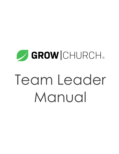# **SROWICHURCH®** Team Leader Manual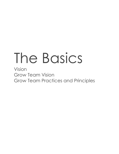## The Basics

Vision Grow Team Vision Grow Team Practices and Principles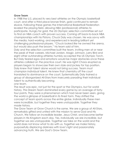#### **Grow Team**

In 1988 the U.S. placed its very best athletes on the Olympic basketball court, and after a third place bronze finish, gold continued to remain elusive. Following these games the International Basketball Federation leveled the playing field, allowing NBA (professional) athletes to participate. Hungry for gold, the US Olympic selection committee set out to find an NBA coach with proven success. Coming off back-to-back NBA championships with his Pistons, Chuck Daly was chosen. He was savvy with the media, hard-working, and experienced in leading brilliant yet challenging professional players. "Chuck *looked like* he owned the arena, but would also push the broom," his team said of him.

Daly and the selection committee built the team, inviting men at or near the peak of their careers. Michael Jordan, Magic Johnson, Larry Bird and eight other outstanding athletes humbly accepted the US Olympic Torch. But Daly feared egos and emotions would be major obstacles once these athletes collided on the practice court. He was right! Chaos erupted as players began to showcase their own style and jockey for top position. Daly knew that talent alone would not bring success. Team must champion individual talent. He knew that chemistry *off* the court translated to dominance *on* the court. Systematically Daly trained a group of disorganized All-Stars from insecurely parading their individual talent to authentically becoming

*one team*.

The result was epic, not just for the sport or the Olympics, but for world history. This Dream Team dominated every game by an average of fortyfour points. They were a phenomenon which had never been seen, giving the world a glimpse of basketball in its finest form. They shifted the concept of team sports across the entire globe. Individually these men were *incredible*, but together they were *unstoppable*. Together they made history.

The Grow Team at Grow Church is the same. We are a group of All-Stars, remarkably gifted and united with the mission to serve God and His Church. We follow an incredible leader, Jesus Christ, and become better players in His Kingdom each day. Yes, individually we are *incredible*, but together we are *unstoppable*. Together we take on the world and the world does not know what to do with us. Together we make history, purposefully displacing darkness with love's light and passionately advancing truth. We are God's Grow Team.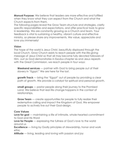**Manual Purpose:** We believe that leaders are more effective and fulfilled when they know what they can expect from the Church and what the Church expects from them.

The following pages reveal the Grow Team structure and strategies, clarify specific responsibilities and expectations, and offer practical tools to grow in leadership. We are constantly growing as a Church and team. Your feedback is vital to sustaining a healthy, vibrant culture and effective ministry, so please share any improvements. We value, appreciate and love you immensely!

#### **Vision**

The hope of the world is Jesus Christ, beautifully displayed through the local Church. Grow Church exists to reach people with the life-giving message of Jesus Christ so that all may become fully devoted followers of Him. Just as God demonstrates in Exodus chapter six and Jesus repeats with the Great Commission, we reach people in four ways:

**Weekend services** — partner with God to bring people out of their slavery in "Egypt." We are here for the lost.

**growth Track** — bring the "Egypt" out of people by providing a clear path of growth. We provide a catalyst for spiritual and personal growth.

**small groups** — pastor people along their journey to the Promised Land. We believe that real life change happens in the context of relationships.

**Grow Team** — create opportunities for people to fully realize their redemptive calling and impact the Kingdom of God. We empower people to actively live out their God-design.

#### **Core Values**

**Love for god** — maintaining a life of intimate, whole-hearted commitment to God and His Word

**Love for People** — expressing the fullness of God's love to the world around us

**Excellence** — living by Godly principles of stewardship, honor and work ethic

**Attitude** — living, leading and loving with passion and joy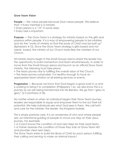#### **Grow Team Vision**

**People** — We value people because God values people. We believe that: • Every member is a minister.

- Every person is a "10" in some area.
- Every task is important.

**Purpose** — The Grow Team is a strategy for ministry based on the gifts and passions within people. It is a way of empowering people to be ministers and do the "works of ministry so that the body of Christ may be built up" (Ephesians 4:12). Since the Grow Team strategy is gifts-based and not needs- based, the ministry of our Church looks likes the ministers of our Church.

All ministry teams begin in the Small Groups arena where the leader has the opportunity to build momentum and team simultaneously. In order to move from the Small Groups arena and launch as an official Grow Team ministry, the following must take place:

- The team proves *vital* to fulfilling the overall vision of the Church.
- The team proves *sustainable*. It is healthy enough to have an appropriate team rotation at all existing services or events.

**Progression** — Because we know that God began a good work in us and is working to bring it to completion (Philippians 1:6), we also know this is a journey as we are being transformed into His likeness. We go from "glory to glory" (2 Corinthians 3:18).

No matter where or when an individual begins their Grow Team journey, leaders are responsible to equip and empower them to live out their full potential. We help individuals see what God sees in them. We call forth and care for the minister, the leader, the Kingdom-builder.

This is simply pastoral care. It is an awareness of who and where people are; an intentional guiding of people to move *one step* on their Jesus journey. For example:

- A Coach knows the condition of and next steps for their Lead Team.
- A Trainer assesses the condition of those they train at Grow Team 401 and provides clear next steps.

*The Grow Team exists to build the Body of Christ by each person fulfilling their calling and serving to make an eternal impact.*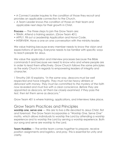• A Connect Leader inquires to the condition of those they recruit and provides an applicable connection to the Church.

• A Team Leader knows the condition of those on their team and applicable next steps for their growth in Christ.

**Process** — The three steps to join the Grow Team are:

- TRAIN. Attend a training session. (Grow Team 401)
- APPLY. Fill out a Leadership Application and Honor Code.
- INTERVIEW. Have a one on one conversation with the ministry leader.

We value training because every member needs to know the vision and expectations of serving. Everyone needs to be familiar with specific ways to reach people for Jesus.

We value the application and interview processes because the Bible commands it and because we need to know who and where people are in order to lead them effectively. Grow Church follows the same principles as the early Church in regards to empowering leaders of integrity and character.

*1 Timothy 3:8-10 explains, "in the same way, deacons must be well respected and have integrity. They must not be heavy drinkers or dishonest with money. They must be committed to the mystery of the faith now revealed and must live with a clear conscience. Before they are appointed as deacons, let them be closely examined. if they pass the test, then let them serve as deacons."*

Grow Team 401 is where training, applications, and interviews take place.

### Grow Team Practices and Principles

**worship one, serve one** — We are to live a life devoted to Jesus Christ, first and foremost. The Grow Team incorporates a "Worship One, Serve One" motto, which allows individuals to worship the Lord by attending a worship experience and to worship the Lord by serving a worship experience. Both our song and serve are worship to the Lord.

**Team Huddles** — The entire team comes together to *prepare*, receive *position* assignments and logistics, and *pray*. This is essential for unity and clarity.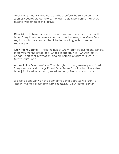Most teams meet 45 minutes to one hour before the service begins. As soon as Huddles are complete, the team gets in position so that *every* guest is welcomed as they arrive.

**ChecK-in** — Fellowship One is the database we use to help care for the team. Every time you serve we ask you check-in using your Grow Team key tag so that leaders can lead the team with greater care and knowledge.

**Grow Team Central** — This is the hub of Grow Team life during any service. There you will find great food, Check-In opportunities, Church family, badges, pertinent information, and an incredible team to SERVE YOU (Grow Team Serve).

**Appreciation Events** — Grow Church highly values generosity and family. Every year we host a magnificent Grow Team Party in which the entire team joins together for food, entertainment, giveaways and more.

*We serve because we have been served and because we follow a leader who models servanthood. BILL HYBELS, volunteer revoluTion*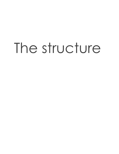## The structure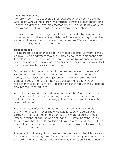#### **Grow Team Structure**

Our Grow Team, has discovered their God-design and now live out their God-destiny. As we have grow, maintaining a culture of authenticity and unity will be vital. We have implemented systems in order to best care for people and structure so that leaders can most effectively serve.

In this section we walk through the Grow Team Leadership structure as implemented on all teams. Strength is in unity — every ministry follows the same structure in order to pastor and serve people. We are *one team*, many ministries; *one body*, many parts.

#### **Biblical Models**

We incorporate a relational leadership model because we want to know people — who and where they are — and guide them to higher heights. This relational structure is based on the two incredible leaders, Jethro and Jesus. They pastored, developed and protected their people in ways that are still effective thousands of years later.

Did you know that Moses, probably the greatest leader in the entire Old Testament, initially struggled with leadership? A child forced out of his home, a misunderstood teenager, and a murderer, Moses had to first conquer insecurity and fear. Then God called him to a forty-year relocation mission of 1.5 million Israelites from Egypt through the wilderness and into the Promised Land.

While the exhausted, frustrated nation grew, so did Moses' leadership responsibilities. As his responsibilities grew, so did his exhaustion and frustration. Everyone was increasingly dissatisfied because their needs remained unmet.

The primary downfall with the leadership of Moses was that he did everything himself — travel itineraries, baptisms, baby dedications, discipline, vision casting, temple construction, water sourcing, prayer lessons, and the list goes on and on! Thankfully Jethro, his father-in-law, taught Moses how to build leaders and delegate ministry (Exodus 18). It is from Jethro that we learn the power of equipping ministers for works of ministry (Ephesians 4).

The Jethro Principle says that some people are called to lead thousands; some to lead hundreds, some fifties and some tens. The principle enforces the reality that true leadership is not exclusive to one, but instead allows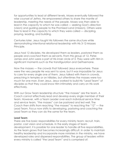for opportunities to lead at different levels. Moses eventually followed the wise counsel of Jethro. He empowered others to share the mantle of leadership, meeting the needs of the people. Moses was then able to lead in the capacity to which he was called — seeking God's direction (vision) and guiding people to the Promised Land (mission). Others were free to lead in the capacity to which they were called — discipling, praying, leading, and building.

Centuries later, Jesus taught His followers the same structure while demonstrating intentional relational leadership with His 3-12-Masses Principle.

Jesus had 12 disciples. He *developed* them as leaders, *pastored* them as people and *coached* them as servants. From this group of 12, Peter, James and John were a part of His inner circle of 3. They were with Him in significant moments such as the transfiguration and Gethsemane.

Now the masses — the crowds that followed Jesus everywhere. These were the very people He was sent to save, but it was impossible for Jesus to care for every single one of them. Jesus talked with them in crowds, preaching in temples or on hillsides, but oftentimes the masses were too much for one man. Even Jesus. Jesus worked to build His "Lead Team" of disciples so that they could know Him intimately and carry on His work effectively.

With our Grow Team leadership structure "the masses" are the team. A Coach cannot effectively lead and develop every single member of their team. However, with a Team Leader over each individual service time and service team, "the masses" can be pastored and led well. The Coach then shifts from reaching "the masses" to reaching the "12" — the Lead Team. Focus now shifts to developing, pastoring and coaching the Lead Team so they can do the same for the team.

#### **Lead Team**

There are five basic responsibilities for every ministry team: recruit, train, pastor, cast vision and schedule. In the early stages of team development, it is possible for one leader to handle all five responsibilities. As the team grows that becomes increasingly difficult. In order to maintain healthy leadership and incorporate more ministers in the ministry, we have developed roles and dispersed responsibilities. The group of leaders within every ministry is called "the Lead Team" and is comprised of: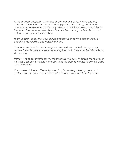*A-Team (Team Support) – Manages all components of Fellowship one (F1) database, including active team rosters, pipeline, and staffing assignments. Maintains schedules and handles any relevant administrative responsibilities for the team. Creates a seamless flow of information among the lead Team and potential and new team members.*

*Team Leader – leads the team during and between serving opportunities by coaching, developing and pastoring them.*

*Connect Leader – Connects people to the next step on their Jesus journey. recruits Grow Team members, connecting them with the best-suited Grow Team 401 training.*

*Trainer – Trains potential team members at Grow Team 401, taking them through the 3-step process of joining the team. releases them to the next step with clear, specific actions.*

*Coach – leads the lead Team by intentional coaching, development and pastoral care. equips and empowers the lead Team as they lead the team.*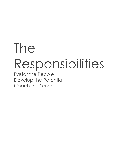## The Responsibilities

Pastor the People Develop the Potential Coach the Serve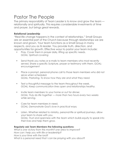## Pastor The People

The primary responsibility of Team Leader is to know and grow the team relationally and spiritually. This requires considerable investments of time and prayer, but brings great rewards.

#### **Relational Leadership**

"Real life change happens in the context of relationships." Small Groups are an essential part of the Church because through relationships we are known and grown. Your team functions as a Small Group in many respects, and you as its leader. You provide truth, direction, and opportunities for growth. Effective ways to pastor your team include:

- Pray. Cover them in prayer daily, lifting up specific needs. *GOAL: Spiritual covering*
- Send thank you notes or e-mails to team members who most recently served. Share a specific Scripture, prayer or testimony with them. *GOAL: encouragement*
- Place a prompt, personal phone call to those team members who did not serve when scheduled. *GOAL: Pastoring. To know how they are and what they need.*
- Text a thoughtful message to the team throughout the week. *GOAL: Keep communication lines open and relationships healthy.*
- Invite team members to your home or out for dinner. *GOAL: Truly do life together — more than two hours every two weeks while serving.*
- Care for team members in need. *GOAL: Demonstrate God's love in practical ways.*
- Listen. Whether related to ministry, personal life or spiritual journeys, allow your team to share with you. *GOAL: Trust and openness with the team which builds equity to speak into their lives and help them grow.*

#### **Regularly ask Team Members the following questions:**

*What is one victory from this month? one area to improve? How can i help you with life or leadership? How is your time with the lord? What is a personal need that i can be praying with you about?*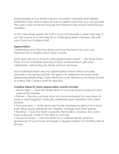Some people on our teams may be wounded, harassed and helpless (Matthew 9:36), and in need of more in-depth care than you can provide. This care is best achieved through the Pastoral Care and/or Small Groups ministries.

In this case simply speak the Truth in love and provide a clear next step. If you are unsure of a next step for a challenging team member, talk with your Coach or Campus Staff.

#### **Appreciation**

Celebrating what God has done and how the team has won is so important for a healthy Grow Team culture.

Each year we host a Church-wide appreciation event — the Grow Team Party. It is an incredible evening of food, entertainment, gifts and celebration, reinforcing the family and fun we have.

Each individual team also has appreciation events twice annually, typically in the spring and fall. The goal is to celebrate the team while deepening relationships. Every team has a set allowance for these events, so check with Campus Staff for specifics.

#### **Creative ideas for team appreciation events include:**

- Movie night Treat the entire team to a movie ticket or popcorn and coke at the theater.
- Dinner Secure a private room at a local restaurant for your team to share a meal together. Publically celebrate team members with crafty awards.
- Park and play Invite team and family members to grill out at a local park. Bring along volleyball net, Frisbees, footballs and other games.
- Bowling Give the team a specific theme (80's, cowboy, etc.) and have everyone come to the alley in costume.
- House-to-house Host the team for a catered dinner (and fun giveaways) at your home and begin a regular rotation of monthly potluck dinners.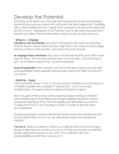## Develop the Potential

Of all the Lead Team you have the best opportunity to see and develop potential because you serve with and know the team personally. The Bible tells us that leaders serve to "equip God's people to do His work AND build up the Church." (Ephesians 4:12) The best way to develop the potential in people is to follow these simple steps: bring in, build up and send out.

#### **• Bring In — Engage**

**introduce and acclimate** new team members to the team and serving. Wait for them in Grow Team Central, help them with check-in and badge, introduce them in the Huddle, and anoint them for service.

**re-engage team members** who have not served recently and offer a next step for them. This may be another team to serve with, a Small Group to join, an Outreach opportunity, or personal prayer.

**Look for potential** within people, not slots to be filled. Search out the gifts and possibilities within people and provide a place for them to thrive on your team.

#### **• Build Up - Equip**

"Giving ministry away" is not a Church cliché, it is Biblical. An immature or unhealthy leader may consider it "subtraction," but it is actually multiplication. It is exponential increase of Kingdom impact.

But if we give ministry away without giving proper training, frustration will inevitably result. Why? Because if responsibilities are given without adequate training or time, the new leader will ultimately succumb to "pulling off Church" and "putting out fires" in order to get the tasks accomplished.

Equipping people involves intentional training, instructive feedback and actual relationship. So how do we effectively equip new leaders for ministry?

**You Do It.** There is a period in which you fulfill the role and until the right leader is selected you continue to do so. As the Lord reveals a potential leader, bring them closer to you. Don't try to sell the role or its responsibilities; just let them see you in it.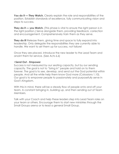**You do it — They Watch.** Clearly explain the role and responsibilities of the position. Establish standards of excellence, fully communicating vision and steps to success.

**They do it — you Watch.** (This phase is vital to ensure the right person is in the right position.) Serve alongside them, providing feedback, correction and encouragement. Comprehensively train them as they serve.

**They do it!** Release them, giving time and space to fully expand into leadership. Only delegate the responsibilities they are currently able to handle. We want to set them up for success, not failure!

Once they are placed, introduce the new leader to the Lead Team and anoint them for service. (See Acts 6.6)

#### **•Send Out - Empower**

Success is not measured by our seating capacity, but by our sending capacity. The goal is not to "bring in" people and hold on to them forever. The goal is to see, develop, and send out the God potential within people. And all the while help them know God more (Colossians 1.10). Our goal is to empower people to passionately and purposefully serve in God's Kingdom.

With this in mind, there will be a steady flow of people onto and off your team. A constant bringing in, building up, and then sending out of Team Members.

Talk with your Coach and help these leaders step into Lead Team roles on your team or others. Encourage them to start new ministries through the Small Groups arena or to lead a general Small Group.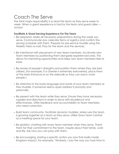## Coach The Serve

The third major responsibility is to lead the team as they serve week to week. When a great experience is had by the team and guests alike victory!

#### **Facilitate A Great Serving Experience For The Team**

- Be prepared. Make all necessary preparations during the week you serve. Communicate any calendar items or logistics and confirm the serving schedule with them. Prepare for pre-service Huddle using the Weekly Vision e-mail. Pray for the team and the services.
- Be intentional with placement of new team members. Acclimate new Team Members by positioning them alongside experienced ones. This allows for mentoring opportunities and helps new team members feel at ease.
- Be aware of people's strengths and position them where they are best utilized. (For example, if a Greeter is extremely extroverted, place them at the Main Entrance or on the sidewalk so they can reach more people.)
- Be attentive to the body language and words of your team members as they Huddle. If someone seems upset address it promptly and personally.
- Be present with the team while they serve. Ensure they have necessary supplies and directions in order to serve with excellence and effectiveness. Offer feedback and accountability to Team Members who need correction.
- Build team community. Facilitate dynamic Huddles. Make sure the team is growing together as a team *as* they serve. Utilize Grow Team Central as a meeting space for your team.
- Be grateful, chatting with every team member when they serve. Thank them for their commitment to the team. Inquire about their family, work and life. Ask how you can pray with them.
- Be encouraging, sharing a specific action you saw that really made Kingdom impact. For example, "Kimberly, I saw the way you took time to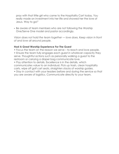pray with that little girl who came to the Hospitality Cart today. You really made an investment into her life and showed her the love of Jesus. Way to go!"

• Be aware of team members who are not following the Worship One/Serve One model and pastor accordingly.

*Vision does not hold the team together — love does. Keep vision in front of and love all around people.*

#### **Host A Great Worship Experience For The Guest**

• Focus the team on the reason we serve – to reach and love people.

• Ensure the team fully engages each guest in whatever capacity they serve. Thoughtful actions such as personally walking a guest to the restroom or carrying a diaper bag communicate love.

• Pay attention to details. Excellence is in the details, which communicates value to an individual. Pick up trash, clean hospitality carts, wipe off golf cart seats, straighten stacks of worship guides.

• Stay in contact with your leaders before and during the service so that you are aware of logistics. Communicate directly to your team.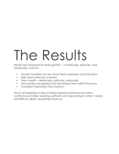# The Results

Results are measured by team growth — numerically, spiritually, and relationally. Look for:

- Smooth transition for new Grow Team members onto the team.
- High team retention numbers.
- Team health relationally, spiritually, personally.
- New leaders recognized and developed from within the team.
- Consistent Fellowship One check-in.

*Much of leadership is about finding balance between two oftenconflicting activities: asserting authority and responding to others' needs. HALPERN & LUBAR, Leadership Presence*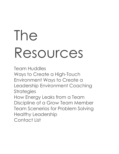# The Resources

Team Huddles Ways to Create a High-Touch Environment Ways to Create a Leadership Environment Coaching **Strategies** How Energy Leaks from a Team Discipline of a Grow Team Member

Team Scenerios for Problem Solving Healthy Leadership

Contact List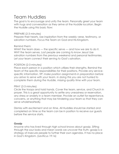## Team Huddles

The goal is to encourage and unify the team. Personally greet your team with hugs and conversation as they arrive at the Huddle location. Begin the Huddle using this basic flow:

#### PREPARE (2-3 minutes)

Prepare their hearts. Use inspiration from the weekly verse, testimony, or salvation numbers. Focus the Team on God and His Kingdom.

#### Remind them:

WHAT the team does — the specific serve — and how we are to do it. WHY the team serves. Lost people are coming to know Jesus! Use salvation numbers from the previous weekend and personal testimonies. Let your team connect their serving to God's salvation.

#### POSITION (2-3 minutes)

Place each person in a position which utilizes their strengths. Remind the team of the specific responsibilities for their positions. Provide any servicespecific information. *TiP: make position assignments in preparation before you arrive to serve with your team. in doing this you are not hurried to complete them during the Huddle, missing quality time with your team.*

#### PRAY (2-3 minutes)

Circle the troops and hold hands. Cover the team, service, and Church in prayer. This is a great opportunity to settle any uneasiness or reservation, any stress or anxiety in a team member. Provide an outlet for repentance, concerns, or anything that may be hindering your team so that they can serve wholeheartedly.

Dismiss with excitement and on time. All Huddles should be started and completed on time so the team can be in position to receive our guests before the service starts.

#### **Gossip**

Anyone who has lived through high school knows about gossip. Sifting through the sour looks and mean words we uncover the truth: gossip is a strategy of insecure people to further their own agendas. It has no place in God's Kingdom. (Leviticus 19:16)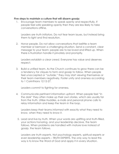#### **Five steps to maintain a culture that will disarm gossip:**

1. Encourage team members to speak openly and respectfully. If people feel safe speaking openly then they are less likely to take conversations offline.

L*eaders are truth initiators.* Do not fear team issues, but instead bring them to light and find resolution.

2. Honor people. Do not allow conversations that belittle a team member or bemoan a challenging situation. Send a constant, clear message to your team: people are to be loved and lifted up. When there is frustration handle it privately and promptly.

L*eaders establish a clear creed.* Everyone has value and deserves respect.

3. Build a unified team. As the Church continues to grow there can be a tendency for cliques to form and gossip to follow. When people feel unaccepted or "outside," they may start viewing themselves or their team members negatively. Foster unity and oneness according to 1 Corinthians 12:12-27.

L*eaders commit* to fighting for oneness.

4. Communicate pertinent information upfront. When people feel "in the dark" they often make up their own stories, which are usually far from the truth. Utilize Huddles, e-mails and personal phone calls to relay information and keep the team in the loop.

L*eaders keep their teams informed* with exactly what they need to know, when they need to know it.

5. Lead and live by truth. When your words are uplifting and truth-filled, your actions honoring, and your leadership decisive, the team follows. When problems are handled with mature love instead of gossip, the team follows.

L*eaders are truth experts.* Not psychology experts, spiritual experts or even leadership experts – TRUTH EXPERTS. The only way to lead this way is to know the Word of God and apply it in every situation.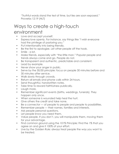"Truthful words stand the test of time, but lies are soon exposed." Proverbs 12:19 (NLT)

## Ways to create a high-touch environment

- Love and accept yourself.
- Express love openly. For instance, say things like "I wish everyone had the privilege of pastoring you."
- Put intentionality into being friendly.
- Be the first to apologize. Let other people off the hook.
- Smile a lot.
- Make friends, especially with "the little man." Popular people and trends always come and go. People do not.
- Be transparent and authentic, predictable and consistent.
- Lead by example.
- Never show your anger in public.
- Serve by the 30/30 principle: focus on people 30 minutes before and 30 minutes after service.
- Walk slowly through crowds.
- Return all emails and phone calls within 24 hours.
- Send thoughtful, handwritten notes.
- Take time to reward faithfulness publically.
- Laugh more.
- Remember significant events (births, weddings, funerals). They happen only once.
- When someone is wounded help heal the hurt.
- Give others the credit and take none.
- Be a connector of people to people and people to possibilities.
- Remember people their names, families and interests.
- Ask people personal questions.
- Let people know you need them.
- Value people. If you don't, you will manipulate them, moving them for your advantage.
- Find common ground using the 101% Principle: Find the 1% that you agree on and give it 100% of your effort.
- Live by the Golden Rule: always treat people the way you want to be treated.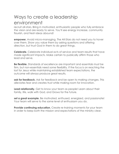## Ways to create a leadership environment

recruit all-stars. Bring in motivated, enthusiastic people who fully embrace the vision and are ready to serve. You'll see energy increase, community flourish, and fresh ideas abound!

**empower.** Avoid micro-managing. The All-Stars do not need you to hover over them. Show you value them by asking questions and offering direction, but trust God in them to do great things.

**Celebrate.** Celebrate individual acts of service and team results that have made significant impacts. Make certain to publically affirm those who lead and serve.

**Be flexible.** Standards of excellence are important and essentials must be firm, but non-essentials need some flexibility. If the focus is on reaching the lost for Jesus while maintaining established team expectations, the outcome will always produce great results.

**ask for feedback.** Ask for feedback and be open to making changes. This alleviates fear and creates trust while making room for innovation.

**Lead relationally.** Get to know your team as people! Learn about their family, life, walk with God, and Grows for the future.

**set a great example.** Be motivated, enthused, energized, and passionate! Your team will serve to the same level of enthusiasm you do.

**Provide continuing education.** Create re-training moments for your team in order to keep both the mission and expectations of the ministry clear.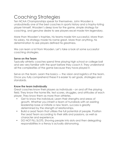## Coaching Strategies

Ten NCAA Championships speak for themselves. John Wooden is undoubtedly one of the best coaches in sports history and a trophy-toting player himself. Wooden's deep love for the game, simple strategy for coaching, and genuine desire to see players excel made him legendary.

More than Wooden's trophies, his teams made him successful. More than his salary, his strategy made his name great. More than anything, his determination to see players defined his greatness.

We can learn a lot from Wooden. Let's take a look at some successful coaching strategies.

#### **Serve on the Team**

Typically athletic coaches spend time playing high school or college ball and are very familiar with the sport before they coach it. They understand all the complexities of the game because they have played it.

Serve on the team. Learn the basics — the vision and logistics of the team. Once you fully comprehend these it is easier to set goals, strategies and standards.

#### **Know the team individually**

Great coaches know their players as individuals – on and off the playing field. They know the home life, test scores, struggles, and attitudes of each player. They know them as more than athletes.

- Get to know the individual. Learn their strengths and areas of growth. Whether you inherit a team of hundreds with an existing leadership base or initiate a new team, success is greatly determined by the strength of relationships.
- Build a Lead Team that utilizes the full potential of people. Position the Lead Team according to their skills and passions, as well as character and experience.
- DO NOT FILL SLOTS. Shoving people into slots and then delegating responsibilities in a frenzy is actually dishonoring.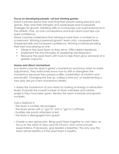#### **Focus on developing people, not just winning games**

Great coaches spend time watching their players during practice and games. They note their strengths and weaknesses and incorporate strategies for growth. Dribbling drills or running laps can build endurance in the athlete. One- on-one conversations and even team road trips can build confidence.

Great coaches understand that winning is more than a number on a scoreboard. Winning is personal growth, team unity, conquered fears, sharpened skills and increased confidence. Winning is individuals being their best and playing as one.

- Observe the Lead Team as they serve. Offer helpful feedback.
- Implement the five Principles of Leadership Development.
- Resource the Lead Team with tools to help them grow and lead at a greater capacity.

#### **Assess and direct momentum**

Successful coaches read a game's momentum and know when to make adjustments. They instinctively know how to shift or strengthen the momentum because they possess a killer combination of intuition and practicality. Changing the line-up, calling a time-out, or implementing a new play are just a few momentum shifters.

• Assess the momentum of your team by looking at energy or exhaustion levels. Evaluate the overall number of team members and ministry projects they have been given. Review the team schedule and growth numbers.

#### Call a TIMEOUT if:

- The team is notably discouraged.
- The team serves with a "got to" (not a "get to") attitude.
- Huddles are poorly attended or led.
- The team is disengaged from guests.
- Create a new game plan. Bring Lead Team together to cast vision, refocus on the heart of Jesus and His Church, and communicate expectations. If necessary, give leaders a breather. The only way the team will be healthy is if the Lead Team is healthy.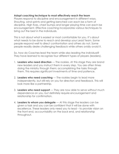#### **Adapt coaching technique to most effectively reach the team**

Players respond to discipline and encouragement in different ways. Shouting, wind sprints and getting benched can each be a form of discipline. High fives, chest bumps and longer playing time can each be encouragement. Effective coaching incorporates various techniques to bring out the best in the individuals.

This is not about what is easiest or most comfortable for you. It's about what needs to be done to reach and develop your Lead Team. Some people respond well to direct confrontation and others do not. Some people readily desire challenging feedback while others avidly avoid it.

So, how do Coaches lead the team while also leading the individual? They have learned to recognize four different types of players (leaders).

- 1. **Leaders who need direction** The rookies. At this stage they are brand new leaders and you instruct them in every step. You are often times doing the ministry through them; accomplishing the tasks through them. This requires significant investments of time and patience.
- 2. **Leaders who need coaching** The rookies begin to lead more independently, but still rely on you for direction and feedback. This will look more like a partnership.
- 3. **Leaders who need support** They are now able to serve without much dependence on you, but definitely require encouragement and relationship for confirmation.
- 4. **Leaders to whom you delegate** At this stage the leaders can be given a task and you can be confident that it will be done with excellence. These leaders only need you to lead – to provide vision on the front end, accountability on the back end, and relationship throughout.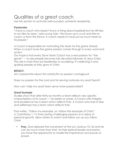## Qualities of a great coach

Use this section to activate well-rounded, authentic leadership.

#### **Passionate**

"I have a coach who doesn't know a thing about baseball but he still tries to act like he does," said young Tyler. "He shows up in a suit and tries to coach us from the fence. A coach needs to have just as much heart as his players."

A Coach is responsible for motivating the team for the game ahead. When a coach loves the game passion comes through in every word and action.

Our hope is that every Grow Team Coach has a real passion for "the game" — to see people become fully devoted followers of Jesus Christ. This role is more than just leadership or socializing. It's believing in and guiding people as they grow in Christ.

#### **REFLECT:**

Am I passionate about this ministry?Is my passion contagious?

Does my passion for the Lord and for serving motivate my Lead Team?

How can I help my Lead Team serve more passionately?

#### **Great Example**

Studies show that after thirty-six months a team reflects very specific characteristics of its coach — for better or worse. A Coach with integrity and excellence has a team which reflects that. A Coach who lives in fear and selfishness has a team which reflects that.

Paul writes, "Follow my example, as I follow the example of Christ." (1 Corinthians 1.11) Even during challenging seasons or in areas of personal growth, allow others to watch and follow you as you follow Christ.

• **Pray.** God delayed the movement of the sun (Joshua 10.13) and He can do much more than that. As their spiritual leader and pastor, you have the opportunity to model the importance and power of prayer.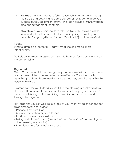- **Be Real.** The team wants to follow a Coach who has gone through life's up's and down's and come out better for it. Do not hide your successes, failures, joys or sorrows. They can provide infinite wisdom and encouragement for others.
- **Stay Stoked.** Your personal love relationship with Jesus is a visible, vibrant display of Heaven. It is the most inspiring example you provide. Fan your gifts into flame (1 Timothy 1.6) and pursue God.

REFLECT:

What example do I set for my team? What should I model more intentionally?

Do I place too much pressure on myself to be a perfect leader and lose my authenticity?

#### **Organized**

Great Coaches work from a set game plan because without one, chaos and confusion infect the entire team. An effective Coach not only organizes practices, team meetings and schedules, but also organizes his personal life well.

It is important for you to lead yourself, first maintaining a healthy rhythm in life. Since life is more of a marathon than a sprint, staying "in the race" means establishing and maintaining a sustainable pace. Let's walk through this together.

First, organize yourself well. Take a look at your monthly calendar and set aside time for the following:

- Personal time with God.
- Quality time with family and friends.
- Fulfillment of work responsibilities.
- Being part of the Church. ("Worship One | Serve One" and small group, not just ministry leadership.)
- Intentional time for hobbies and rest.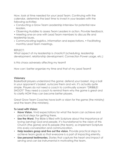Now, look at time needed for your Lead Team. Continuing with the calendar, determine the best time to invest in your leaders with the following activities:

- Conducting a Grow Team Leadership Interview for potential new leaders.
- Observing Huddles to assess Team Leaders in action. Provide feedback.
- Meeting one-on-one with Lead Team members to discuss life and leadership issues.
- Communicating logistics, information and expectations. Facilitating monthly Lead Team meetings.

#### REFLECT:

What aspect of my leadership is chaotic? (scheduling, leadership development, relationship development, Connection Power usage, etc.)

Is this chaos adversely affecting my team?

How can I better organize my time and that of my Lead Team?

#### **Visionary**

Basketball players understand the game: defend your basket, ring a ball in your opponent's basket, outscore them and win. It's actually quite simple. Players do not need a coach to continually scream "DRIBBLE! SHOOT!" They need a coach to remind them why the game is great and to clarify HOW they can become better players.

Great Grow Team Coaches have both a vision for the game (the ministry) and the team (the ministers).

#### **To Lead with Vision:**

- **Have Vision.** Vivid expectations for what the team can achieve and practical steps for getting there.
- **Use the Word**. The Bible is filled with Scripture about the importance of loving (serving) God and people. It's foundational to the vision of this Church (the game) and its people (the team), so implement Scripture into every conversation and communication.
- **Help leaders grasp and live out the vision.** Provide practical steps to achieve team goals so that everyone is a part of impacting eternity.
- **Use personal testimonies.** Stories that capture the heart and impact of serving and can be instrumental in motivating the team.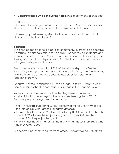• **Celebrate those who achieve the vision.** Public commendation is best!

#### REFLECT:

Is the vision for serving clear to me and my leaders? What is one practical step I could take to clarify or recast the basic vision to them?

Is there a gap between my vision for the team and what they actually do? How do I bridge this gap?

#### **Relational**

While the coach does hold a position of authority, in order to be effective he must also personally relate to his players. Coaches who strategize and shout are a dime a dozen. Coaches who know, love and support players through actual relationships are rare. An athlete can thrive with a coach who genuinely, personally cares.

Brand new leaders want about 80% of the relationship to be feeding them. They want you to know where they are with God, their family, work, and life in general. They need specific next steps for personal and leadership growth.

About 20% of the relationship will then be leading them — casting vision and developing the skills necessary to succeed in their leadership role.

As they mature, the amount of time leading them will increase substantially, but never beyond the time spent feeding them. Why? Because people always need to be known.

- Know in their spiritual journey. How did they come to Christ? What are their struggles? What are their greatest victories?
- Know in their life history. What was their family like? How did they handle conflict? What were the major turning points in their life? Are they married? Do they enjoy their job?
- Know in their heart. What brings them joy? What makes them sad? What do they Grow about?

*Leadership is not something we do to others. it is what we do with others.*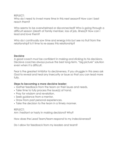RFFLECT:

Who do I need to invest more time in this next season? How can I best reach them?

Who seems to be overwhelmed or disconnected? Who is going through a difficult season (death of family member, loss of job, illness)? How can I lead and love them?

Who do I continually sow time and energy into but see no fruit from the relationship? Is it time to re-assess this relationship?

#### **Decisive**

A good coach must be confident in making and sticking to his decisions. Decisive coaches always pursue the best long-term, "big picture" solution even when it is difficult.

Fear is the greatest inhibitor to decisiveness. If you struggle in this area ask God to reveal and heal any insecurity or issue so that you can lead more fully.

#### **Steps to becoming a more decisive leader:**

- Gather feedback from the team on their issues and needs.
- Take time to fully process the issue(s) at hand.
- Pray for wisdom and revelation.
- Seek guidance from a mentor.
- Draw from past personal experiences.
- Take the decision to the team in a timely manner.

#### $RFFIFCT$

Am I hesitant or hasty in making decisions? Why?

How does the Lead Team/team respond to my indecisiveness?

Do I allow for feedback from my leaders and team?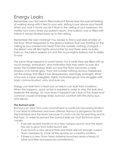## Energy Leaks

Remember your first helium-filled balloon? Remember the special feeling of walking along with it tied to your wrist, letting it soar above your head? When you took it home you let it float to the ceiling of your bedroom. No matter how many times you pulled it down, that balloon was so filled with helium it always floated back up to the ceiling.

Remember the next morning? You awoke to find a sad blob of latex on the floor. What happened to the glorious balloon that was floating on the ceiling as you crawled into bed? From the outside, nothing changed the ribbon was still tied tightly around the tip and there were no holes. Even so, the helium leaked out and the once-mighty balloon lost its ability to soar.

The same thing happens to some teams. For a while they are filled with so much energy, enthusiasm, and motivation that they seem to soar. But slowly the invisible energy leaks out and the team becomes a mere shadow of its former glory. From the outside nothing obvious happened, yet the energy that filled it has disappeared, seemingly overnight. What once was a super- energized, highly motivated group now struggles with basic communication, unity and even joy.

Energy can leak from a team just as helium can leak from a balloon. When this happens, quick action is required in order to stop the leak and replenish the energy. So, how does it happen? Let's look at the three most common causes of energy leaks: burnout, comfort with the status quo, and decay.

#### **The Burnout Leak**

Burnout can stem from over commitment or continual miscommunication. It can lead to bitterness and even offense. Burnout is dangerous for both the individual and the team because it's roots can be far-reaching and its fruit toxic. In order to prevent the burnout leak we must first know some causes.

- If we are several months in to a new campus launch and the team has yet to grow from initial launch size.
- If we launch a new service time and there are not enough current team members to cover all the services on a healthy rotation.
- If there is a new Grow Team initiative launched amid a frenzy of other activities and personal commitments.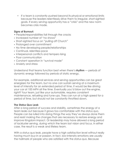• If a team is constantly pushed beyond its physical or emotional limits because the leaders relentlessly drive them to irregular, short-sighted goals. If every serving opportunity has a "crisis" and the new norm becomes crisis mode.

#### **Signs of Burnout:**

- People/responsibilities fall through the cracks
- Increased number of "no shows"
- Short-sighted focus on "pulling off Church"
- Prolonged over commitment
- No time developing people/relationships
- Continual, relentless pace
- Interpersonal conflicts and tempers rising
- Poor communication
- Constant operation in "survival mode"
- Anxiety and stress

Understand that teams function best when there's **rhythm** — periods of dynamic energy followed by periods of static energy.

For example, additional services and serving opportunities can be great energizers for the team, but no one can sustain serving at a maximum level of intensity for an extended period of time. It would be like driving your car at 100 MPH all the time. Eventually you'd blow out the engine, right? Your team, just like your automobile, requires consistent maintenance, refueling and tune-ups. They can run at a high speed for a period of time, but should not be constantly throttled down.

#### **The Status Quo Leak**

After a long period of success and stability, sometimes the energy of a team leaks out because it grows too comfortable with the status quo. People can be lulled into doing things the way they've always done them and resist making the changes that are necessary to restore energy and improve Kingdom impact. Or leadership may have allowed a long period of lackluster serving, during which the team lost vision and focus. In either case, the result is a weak and lifeless team.

With a status quo leak, people have a high satisfaction level without really having much buy-in or passion. In fact, low-intensity emotions are usually the hallmark of people who are satisfied with the status quo. Because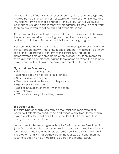everyone is "satisfied" with their level of serving, these teams are typically marked by very little authenticity of expression, lack of attentiveness, and insufficient stamina to make changes. If the words, "But we've always been successful doing things this way" are familiar, it's time to check your team to ensure you're not being lulled by the status quo.

The status quo leak is difficult to address because things seem to be okay the way they are. After all, adding team members, covering all the positions, and at least *having* a Huddle is good enough, right?

True servant leaders are not satisfied with the status quo, so ultimately two things happen. They will leave the team altogether if mediocrity is all they see or they will gradually conform to the status quo. This fact is demonstrated time and time again when excited, new team members serve alongside complacent, existing team members. When the example is weak and watered down, the new team members follow suit.

#### **Signs of status Quo serving:**

- Little value of team or guests
- Existing leadership has "paralysis of analysis"
- No clear direction or goals
- Great leaders either leave or underperform
- High resistance to change
- Lack of innovation or creativity on the team
- Lack of drive
- "Way we've always done things" mentality

#### **The Decay Leak**

The third type of energy leak may be the worst and most toxic of all because it affects the heart, head and hands. Many times these energy leaks are solely the result of subtle, internal leaks that over time drain energy from the entire team.

Many times if a team struggles with lack of vision or value of relationship (with God and people), decay can set in. If decay is allowed to exist too long, leaders and team members become convinced that the *system* is the problem and will not acknowledge the real issue at hand. Then the focus of leadership now must shift to address the internal issues.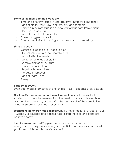#### **Some of the most common leaks are:**

- Time and energy wasted in unproductive, ineffective meetings
- Lack of clarity with Grow Team systems and strategies
- Paralysis in current situation due to fear of backlash from difficult decisions to be made
- Lack of a positive team culture
- Power struggles for position
- Pauper mentality of blaming, complaining and competing

#### **Signs of decay:**

- Guests are looked over, not loved on
- Discontentment with the Church or self
- Lack of effective solutions
- Confusion and lack of clarity
- Apathy, lack of enthusiasm
- Poor communication
- Negative team culture
- Increase in turnover
- Lack of team unity
- Gossip

#### **Road To Recovery**

Even after massive amounts of energy is lost, survival is absolutely possible!

**First identify the cause and address it immediately.** Is it the result of a sudden or uncontrollable event? Is it the result of more subtle events burnout, the status quo, or decay? Is the loss a result of the cumulative effect of smaller energy leaks over time?

**Learn from the energy loss and regroup.** It is never too late to recover, but it will require courage and decisiveness to stop the leak and generate positive energy.

**identify energizers and Zappers.** Every team member is a source of energy, but do they *create* energy or *zap* it? If you know your team well, you know which people *create* and which *zap*.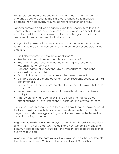Energizers spur themselves and others on to higher heights. A team of energized people is easy to motivate but challenging to manage because their high energy requires constant direction and focus.

Zappers complain and resist change, using their negativity to take the energy right out of the room. A team of energy zappers is easy to lead since there is little passion or vision, but very challenging to motivate because of their contentment with status quo.

Are you facing issues with energy zappers or lackluster leaders on your teams? Here are some questions to ask in order to better understand the situation.

- Did I clearly communicate the expectations?
- Are these expectations reasonable and attainable?
- Has the individual received adequate training to execute the responsibilities effectively?
- Does the individual understand why it is important to handle the
- responsibilities correctly?
- Do I hold this person accountable for their level of serve?
- Do I give appropriate and consistent responses/consequences for their performance?
- Do I give every leader/team member the freedom to take initiative, to succeed?
- Have I removed any obstacles to high-level leading and authentic serving?
- Am I aware of what is going on in this person's life that could be affecting things? Have I intentionally pastored and prayed for them?

If you can honestly answer yes to these questions, then you have done all that you could. Deal with the individual quickly yet fairly because the longer a lackluster, energy-zapping individual remains on the team, the more damaging it can be.

**Align everyone with the vision.** Everyone must be on board with the vision and mission – what we do, why we do it and how we do it. Simplify and communicate team vision (purpose) and mission (practical steps) so that everyone is unified.

**Align everyone with the core values.** Cut away anything that contradicts the character of Jesus Christ and the core values of Grow Church.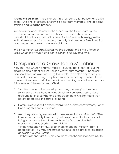**Create critical mass.** There is energy in a full room, a full balloon and a full team. And energy creates energy. So add team members, one at a time, training and releasing properly.

We can somewhat determine the success of the Grow Team by the number of members and weekly check-ins. These indicators are important, but the success of the team is also found in its energy — the enthusiasm and passion sustained, the unity and oneness of relationships and the personal growth of every individual.

*This is not merely an organization we are building. This is the Church of Jesus Christ and it is built one conversation, one day at a time.*

### Discipline of a Grow Team Member

Yes, this is the Church and yes, this is a voluntary act of service. But the discipline and potential dismissal of a Grow Team member is necessary and should not be avoided. Using this simple, three-step approach you can pastor people through any heart issue or unmet expectation. These conversations are a part of leadership and helping people become more fully devoted followers of Jesus Christ.

- 1. Start the conversation by asking how they are enjoying their time serving and if they have any feedback for you. Graciously extend gratitude for their serving and encourage them in a significant way before addressing the issue(s) at hand.
- 2. Communicate specific expectations such as time commitment, Honor Code, logistics and character.
- 3. Ask if they are in agreement with these expectations, YES or NO. Give them an opportunity to respond, but keep in mind that you are not trying to convince them to serve. Love for God must be their motivation and its overflow their ministry.

• If they respond with NO, direct them to another ministry team (if appropriate). You may encourage them to take a break for a season and/or join a Small Group.

• If they respond with YES, provide them with their next opportunity to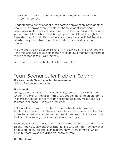serve and ask if you can continue to hold them accountable to the issue(s) discussed.

If inappropriate behavior continues after this conversation, have another one- on-one conversation to reinforce the set expectations and boundaries. Make any clarifications and hold them accountable for what you observed. If their heart is in the right place, walk them through these three steps again and offer another opportunity to serve. If their heart is rebellious or proud, direct them to a small group or pastoral care for counseling.

We are each walking out our salvation while serving on the Grow Team. It is the role of leaders to disciple those in their care, so that they continue to move one step in their Jesus journey.

Always offer a clear path of restoration. Jesus does.

#### Team Scenarios for Problem Solving **The Awesomely Overcommitted Team Member**

Holding People Accountable.

#### **The scenario:**

Jenny, a self-employed, single mom of two, serves on the Events and Check-In teams, as well as a Small Group Leader. Her children are active in sports and school so her minivan has gathered many miles. Creative, talented, energetic — Jenny is awesome!

Unfortunately, Jenny is unreliable due to her hectic schedule and tendency to overcommit. She also has a tendency to be easily offended when these issues are addressed. As a result, people avoid conversations that could potentially cause Jenny to become angry.

Everyone tiptoes around Jenny's unpredictable, fragile personality. "After all, she is doing such wonderful things for the Church," they say. However, people are confused and even hurt by Jenny's "servanthood" which often bulldozes over and disregards them entirely.

#### **The Questions:**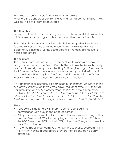Who should confront her, if anyone? At what point? What are the dangers of confronting Jenny? Of not confronting her? How well do I hold the team accountable?

#### **The Thoughts:**

Jenny's pattern of overcommitting appears to be a habit. If it exists in her ministry, we can almost guarantee it exists in other areas of her life.

This pastoral conversation has the potential to completely free Jenny of false narratives she has believed about herself and/or God. If this opportunity is avoided, Jenny could potentially remain destructive to herself and others.

#### **The solution:**

The Events Team Leader (Tom) has the best relationship with Jenny, so he brings his concerns to the Events Coach. They discuss the issues, honestly and confidentially, and pray for the Holy Spirit to give insight. They resolve that Tom, as the Team Leader and pastor for Jenny, will talk with her first, using Matthew 18 as a guide. The Coach will follow-up with the Trainer. They remain united in prayer for Jenny and the situation.

*"'if your brother or sister sins, go and point out their fault, just between the two of you. if they listen to you, you have won them over. But if they will not listen, take one or two others along, so that 'every matter may be established by the testimony of two or three witnesses.' if they still refuse to listen, tell it to the Church; and if they refuse to listen even to the Church, treat them as you would a pagan or a tax collector.'"* MATTHEW 18.15-17

#### **Steps:**

- Schedule a time to talk with them, face-to-face. Begin the conversation with prayer and encouragement.
- Ask specific questions about life, work, relationships and serving. Is there any fear/insecurity? What is prompting all the commitments? Follow the 80/20 rule: listen 80% and talk 20% of the time. The goal is to see the condition of the heart.
- State the specific concerns you have. In this scenario, overcommitting to ministry, having a bad attitude towards others and being easily offended.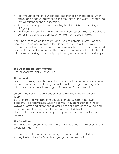- Talk through some of your personal experiences in these areas. Offer prayer and accountability, speaking the Truth of the Word — what God says about them and this situation.
- Set clear next steps. It may be scaling back in ministry, repenting, or a LIFE group.
- Ask if you may continue to follow up on these issues. (Realize: it's always better if they give you permission to hold them accountable.)

Knowing that to be on the team Jenny had to complete Grow Team 401 and the one-on-one interview, the Coach follows up with the Trainer. Issues of life balance, family, and commitments should have been noticed and addressed in the interview. This conversation ensures that intentional interviews are taking place and people are given appropriate next steps.

#### **The Disengaged Team Member**

How to Address Lackluster Serving

#### **The scenario:**

Since the Parking Team has needed additional team members for a while, any newcomers are a blessing. Grow Team 401 brought a new guy, Ted, who has experience with serving at his previous Church. Wow!

Jeremy, the Parking Team Leader, was so excited to have Ted on his team,

but after serving with him for a couple of months, Jeremy has two concerns. Ted rarely smiles while he serves. Though he stands in the lot, waves his arms and directs the guests, his facial expressions are sad and his words are often negative. Ted attends the Huddles, but he is disinterested and never opens up to anyone on the team, including Jeremy.

#### **The Questions:**

Would you let Ted continue to serve at this level, hoping that over time he would just "get it"?

How are other team members and guests impacted by Ted's level of serving? What does Ted's body language communicate?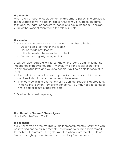#### **The Thoughts:**

When a child needs encouragement or discipline, a parent is to provide it. Team Leaders serve in a parental role in the family of God, so this same truth applies. Team Leaders are responsible to equip the team (Ephesians 2.10) for the works of ministry and the role of minister.

#### **The solution:**

1. Have a private one-on-one with the team member to find out:

- Does he enjoy serving on the team?
- Has he made new friends?
- Is the team what he expected it to be?
- Did 401 training fully prepare him?

2. Lay out clear expectations for serving on this team. Communicate the importance of body language — waves, smiles and facial expressions in demonstrating love and value to people. Ask if he is able to serve at this level.

- If yes, let him know of the next opportunity to serve and ask if you can continue to hold him accountable on these issues.
- If no, connect him to another ministry's Connect Leader, if appropriate. (In doing this relay any remaining concerns.) You may need to connect him to a small group or pastoral care.

3. Provide clear next steps for growth.

#### **The "He said – She said" Shenanigans**

How to Resolve Team Conflict

#### **The scenario:**

Molly has served on the Worship Guide team for six months. At first she was positive and engaging, but recently she has made multiple snide remarks towards her teammates. She gets frustrated when team members do not "work at a highly productive rate" or when they "talk too much."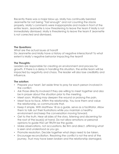Recently there was a major blow-up. Molly has continually berated Jeannette for not being "fast enough" and not counting the stacks properly. Molly's comments were inappropriate and made in front of the entire team. Jeannette is now threatening to leave the team if Molly is not immediately dismissed. Molly is threatening to leave the team if Jeannette is not corrected and dismissed.

#### **The Questions:**

What are the actual issues at hand? Do Jeannette and Molly have a history of negative interactions? To what extent is Molly's negative behavior impacting the team?

#### **The Thoughts:**

Leaders are responsible for creating an environment and process for growth. If there is a delay in handling this situation, the entire team will be impacted by negativity and chaos. The leader will also lose credibility and influence.

#### **The solution:**

- Prepare your heart. Set aside time to pray for each person involved in the conflict.
- Ask those directly involved if they are willing to meet together and also be in prayer about the situation prior to the meeting.
- Meet soon. Waiting may deepen the wound or prolong the pain.
- Meet face-to-face. Affirm the relationship. You love them and value the relationship, so communicate that.
- Keep it simple. With Matthew 18 as a guide, serve as a facilitator. Allow them to talk out their frustrations while you maintain a healthy environment and keep the conversation moving forward.
- Get to the truth. Hear all sides of the story, listening and discerning for the root of the issue(s) at hand. Do not allow emotions or personal opinions to guide this! Let TRUTH be the guide.
- Make observations, not accusations. Be firm and direct, affirming what is seen and understood as you go.
- Promote resolution. Decide together what steps need to be taken.
- Encourage reconciliation. Resolving the conflict is not the end of the journey. Trust may have been broken and the relationship damaged.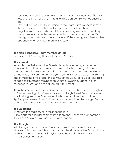Lead them through any awkwardness or grief that follows conflict and resolution. If they allow it, this relationship can be stronger because of this.

• Lay solid ground rules for returning to the team. Give expectations for them as a team member, including what will not be allowed negative words and behavior. If they do not agree to this, then they cannot serve on your team and you should recommend a specific small group or pastoral care for counsel. If they do agree, give another opportunity to serve, but monitor it closely.

#### **The Non-Responsive Team Member Of Late**

Leading and Pastoring Unreliable Team Members

#### **The scenario:**

When Rachel first joined the Greeter team two years ago she served consistently and passionately and communicated openly with her leaders. Amy, is new to leadership, has been in her Team Leader role for six months, and wants to get everyone on her roster to be actively serving. She e-mails the entire roster the serving schedule twice a week. She also sends a text message reminder on Saturday evening. Rachel never responds to Amy and has not served in four months.

Then there's Tyler, a dynamic Greeter so energetic that everyone "lights up" after meeting him. Greeter poster child, right? Well, Team Leader Amy would disagree since Tyler has yet to show up on time to a Huddle. Typically he breezes in just in time to grab a donut and his badge, flash a smile at the team and say, "I've got main entrance!"

#### **The Questions:**

What are the main issues in these scenarios? Is it difficult for a leader to "inherit" a team that has served longer than they have? How do you get buy-in as a leader?

#### **The Thoughts:**

All of Amy's communication is electronic — through e-mails and texts. How would a personal interaction impact the situation? Amy's avoidance of direct communication with Tyler perpetuates his behavior and increases her frustration.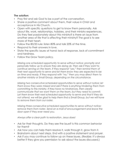#### **The solution:**

- Pray first and ask God to be a part of the conversation.
- Share a positive comment about them, their value in Christ and acceptance in His Church.
- Open with specific questions to get to know them personally. Ask about life, work, relationships, hobbies, and their ministry experiences. Do they feel passionately about this ministry? Is there an issue from another area of life that is affecting their ministry? The goal is to see more of their heart.
- Follow the 80/20 rule: listen 80% and talk 20% of the time.
- Respond to their answers in love.
- State the specific issues at hand: lack of response, lack of commitment and tardiness.
- Follow the Grow Team policy.

*Missing one scheduled opportunity to serve without notice: promptly and personally follow up to ensure they are doing ok. Then ask if they want to continue serving on the team. If they respond "yes," then remind them of their next opportunity to serve and let them know they are expected to be on time and ready. If they respond with "no," then you may direct them to another ministry or Small Group, depending on the circumstance.*

*Missing two consecutive scheduled opportunities to serve without notice: let them know they were missed and ask if there is anything hindering them from committing to this ministry. If they have no hindrances, then clearly communicate that we want them on the team, but they need to commit. Let them know their next scheduled opportunity to serve and that if they do not attend, we will be glad to help them find a Small Group, but we will have to remove them from our roster.*

*Missing three consecutive scheduled opportunities to serve without notice: remove them from roster. Send an e-mail of encouragement and leave the door open if they ever need you.*

*Always offer a clear path to restoration. Jesus does!*

- Ask for their thoughts. Do they see the issue? Is this common behavior for them?
- Ask how you can help them resolve it, walk through it, grow from it.
- Brainstorm about next steps. End with a positive statement and prayer.
- Ask if you may continue to follow up on these issues. (Realize: it's always better if they give you permission to ask about the issues discussed.)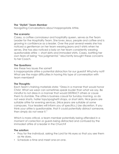#### **The "Stylish" Team Member**

Navigating Conversations about Inappropriate Attire.

#### **The scenario:**

Casey, a coffee connoisseur and hospitality queen, serves as the Team Leader for the Hospitality Team. She loves Jesus, people and coffee and is growing in confidence as a leader. Over the past several weeks she has noticed a gentleman on her team wearing jeans and t-shirts when he serves. She has also noticed a lady on her team consistently wearing questionable attire — short skirts and immodest shirts. Casey, battling her own fears of being "too judgmental," reluctantly brought these concerns to her Coach.

#### **The Questions:**

Are these two issues the same? Is inappropriate attire a potential distraction for our guests? Why/why not? What are the major difficulties in having this type of conversation with team members?

#### **The Thoughts:**

Each Team's training materials state: "Dress in a manner that would honor Christ. What we wear can sometimes speak louder than what we say. Be mindful to not dress in a manner that would DISTRACT others or cause them to stumble. The attire is business casual for Sunday morning, so do not wear shorts, halter tops/spaghetti straps, or short skirts. Nice jeans are suitable attire for evening services. (Nice jeans are suitable at some campuses. Your leaders will inform you of specifics.) Use discretion. If you think your attire is questionable, that it could potentially distract someone, then simply do not wear it."

Which is more critical, a team member potentially being offended in a moment of correction or guests being distracted and confused by the immodest attire of a leader in the Church?

#### **The solution:**

- Pray for the individual, asking the Lord for His eyes so that you see them as He does.
- Schedule a time and meet one-on-one.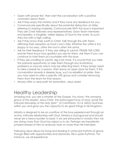- Open with prayer first. Then start the conversation with a positive comment about them.
- Ask if they enjoy the ministry and if they have any feedback for you.
- Communicate specifically about the potential distraction of attire, referring to training materials. Communicate WHY this issue is important. They are Christ followers and representatives; Grow Team members and leaders: a tangible, visible display of God to the world. As such they live with a high calling.
- Ask if they know their worth in Christ. Talk through this with them, affirming their adoption as God's own child. *Whether the attire is too sloppy or too sexy, often the root is often the same.*
- Ask for their feedback. If they are willing to submit, PRAISE THE LORD and let them know how grateful you are for them. Ask them if you can continue to hold them accountable with this issue.
- If they are unwilling to submit, dig a bit more. It is crucial that you take this pastoral opportunity to help them through any frustrations, problems or wounds which may be affecting them. If they simply need to take a break for a season, then leave an open door for them. If this conversation reveals a deeper issue, such as rebellion or pride, then you may need to offer a specific LIFE group and consider removing them from the team for that season.
- Always offer a clear path for restoration. Jesus does!

## Healthy Leadership

Amazing one, you are a minister of the Gospel. You have "*the amazing grace of the Master, Jesus Christ, the extravagant love of God, [and] the intimate friendship of the Holy Spirit*." (2 Corinthians 13:14, MSG) God lives within you and gives you the capacity to do great things in His Kingdom.

Ministry is designed to be an *overflow* of the love experienced through an active, intimate relationship with God. Ministry is God-graced and should never be a heavy burden to bear. *if we are exhausted in ministry then we are doing more than God has asked us to do.* Perhaps we impatiently jumped ahead of Him or anxiously took on more than He intended.

Following Jesus allows for living and leading in unforced rhythms of grace. Though filled with opportunities and obstacles, life is quite rhythmic. For instance, we all experience: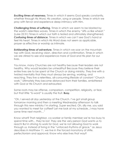*Exciting times of nearness.* Times in which it seems God speaks constantly, whether through His Word, His creation, song or people. Times in which we pray with fervor and experience deep intimacy with Him.

*Challenging times of suffering.* Times in which we seem to be blasted by the world's relentless waves. Times in which the enemy "sifts us like wheat." (Luke 22:31) Times in which our faith is tested and ultimately strengthened. *Confusing times of distance.* Times in which we can't see God's hand or feel His heart. Times in which His Word does not seem as applicable, prayer as effective or worship as intimate.

*Exhilarating times of adventure.* Times in which we soar on the mountain top with God, receiving vision, direction and confirmation. Times in which we are stirred to see and experience more of God and His plan for our lives.

You know, many Churches are not healthy because their leaders are not healthy. Why would leaders be unhealthy? Because they believe their entire lives are to be spent at the Church or doing ministry. They live with a twisted mentality that they must always be serving, working, and reaching. They live a relentless, all-consuming lifestyle of constant "Church work." Ultimately they become distanced from their families, embittered with God or His Church and exhausted.

Some roots may be offense, comparison, competition, religiosity, or fear, but that little "b-word" is usually the fruit. **Busy.**

"Oh, I served *all day* yesterday at the Church. I've got small group tomorrow morning and then a meeting Wednesday afternoon to talk through this new ministry I'm starting. *Super* excited. Oh, silly me, you said you wanted to meet for coffee? Let me look at my schedule...I may have some time next month…"

Know what? That neighbor, co-worker or family member we're too busy to spend time with... they're *lost*. They are the very person God wants us to reach! But in striving to work *for God,* we're not allowing God to work through us. Instead of living in the "unforced rhythms of grace," as Jesus describes in Matthew 11, we live in the forced monotony of strife, perfectionism and approval. Know who else lives that way?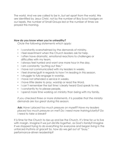The world. And we are called to be in, but set apart from the world. We are identified by Jesus Christ, not by the number of Boy Scout badges on our lapels, the number of Small Groups led or the number of times we prayed this morning.

#### **How do you know when you're unhealthy?**

*Circle the following statements which apply:*

- I constantly overwhelmed by the demands of ministry.
- I feel resentment when the Church leaders ask for help.
- I often have dramatic, emotional reactions to challenges or difficulties with my team.
- I always feel hurried and want one more hour in the day.
- I am constantly "putting out fires."
- I have not communicated with my leaders in weeks.
- I feel shame/guilt in regards to how I'm leading in this season.
- I struggle to fully engage in worship.
- I have not attended a service in weeks.
- I have little desire to pray, worship or read the Word.
- I can't remember the last time I clearly heard God speak to me.
- I constantly try to please people.
- I spend more time working on ministry than being with my family.

*If you checked three or more statements, it is possible that the ministry demands are too great during this season.*

**Ask:** *Have i placed too much pressure on myself? Have my leaders placed too much pressure on me? Do i need more training/clarity? Do i need to take a break?*

It is time for the Church to rise up and be the Church. It's time for us to live with margin. Imagine if we just *did life together*, as God's family? Imagine if we stopped trying to do everything for everyone and began living in the unforced rhythms of grace? So, how do we get out of "busy," performance-driven leadership?